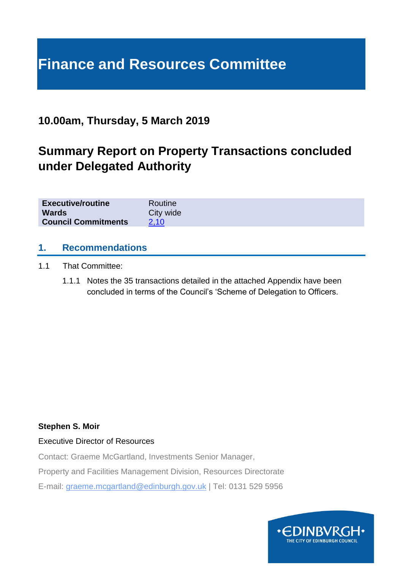# **Finance and Resources Committee**

# **10.00am, Thursday, 5 March 2019**

# **Summary Report on Property Transactions concluded under Delegated Authority**

| <b>Executive/routine</b>   | Routine   |
|----------------------------|-----------|
| <b>Wards</b>               | City wide |
| <b>Council Commitments</b> | 2.10      |

#### **1. Recommendations**

- 1.1 That Committee:
	- 1.1.1 Notes the 35 transactions detailed in the attached Appendix have been concluded in terms of the Council's 'Scheme of Delegation to Officers.

#### **Stephen S. Moir**

#### Executive Director of Resources

Contact: Graeme McGartland, Investments Senior Manager,

Property and Facilities Management Division, Resources Directorate

E-mail: graeme.mcgartland@edinburgh.gov.uk | Tel: 0131 529 5956

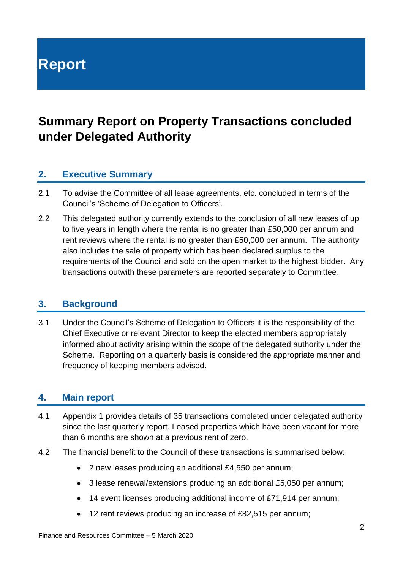**Report**

# **Summary Report on Property Transactions concluded under Delegated Authority**

# **2. Executive Summary**

- 2.1 To advise the Committee of all lease agreements, etc. concluded in terms of the Council's 'Scheme of Delegation to Officers'.
- 2.2 This delegated authority currently extends to the conclusion of all new leases of up to five years in length where the rental is no greater than £50,000 per annum and rent reviews where the rental is no greater than £50,000 per annum. The authority also includes the sale of property which has been declared surplus to the requirements of the Council and sold on the open market to the highest bidder. Any transactions outwith these parameters are reported separately to Committee.

#### **3. Background**

3.1 Under the Council's Scheme of Delegation to Officers it is the responsibility of the Chief Executive or relevant Director to keep the elected members appropriately informed about activity arising within the scope of the delegated authority under the Scheme. Reporting on a quarterly basis is considered the appropriate manner and frequency of keeping members advised.

#### **4. Main report**

- 4.1 Appendix 1 provides details of 35 transactions completed under delegated authority since the last quarterly report. Leased properties which have been vacant for more than 6 months are shown at a previous rent of zero.
- 4.2 The financial benefit to the Council of these transactions is summarised below:
	- 2 new leases producing an additional £4,550 per annum;
	- 3 lease renewal/extensions producing an additional £5,050 per annum;
	- 14 event licenses producing additional income of £71,914 per annum;
	- 12 rent reviews producing an increase of £82,515 per annum;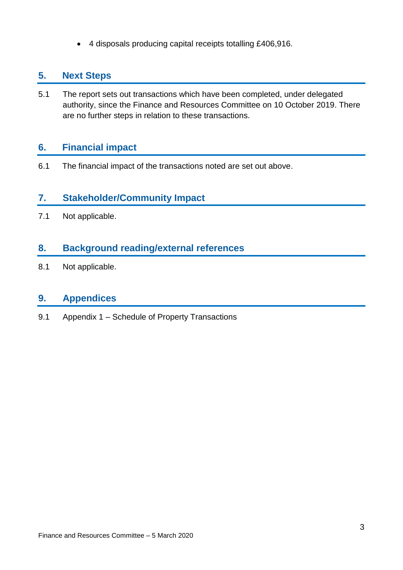• 4 disposals producing capital receipts totalling £406,916.

### **5. Next Steps**

5.1 The report sets out transactions which have been completed, under delegated authority, since the Finance and Resources Committee on 10 October 2019. There are no further steps in relation to these transactions.

# **6. Financial impact**

6.1 The financial impact of the transactions noted are set out above.

# **7. Stakeholder/Community Impact**

7.1 Not applicable.

# **8. Background reading/external references**

8.1 Not applicable.

# **9. Appendices**

9.1 Appendix 1 – Schedule of Property Transactions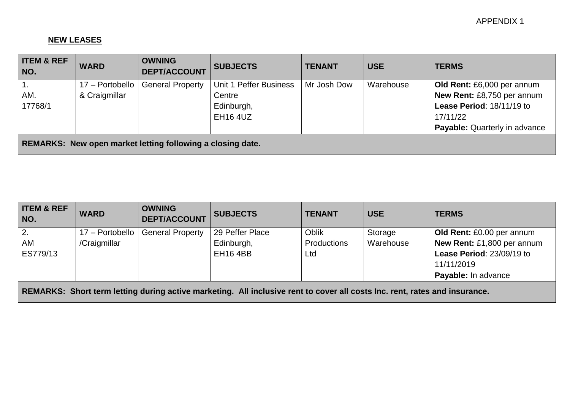#### **NEW LEASES**

| <b>ITEM &amp; REF</b><br>NO.                                      | <b>WARD</b>     | <b>OWNING</b><br><b>DEPT/ACCOUNT</b> | <b>SUBJECTS</b>        | <b>TENANT</b> | <b>USE</b> | <b>TERMS</b>                         |
|-------------------------------------------------------------------|-----------------|--------------------------------------|------------------------|---------------|------------|--------------------------------------|
| $\overline{1}$ .                                                  | 17 - Portobello | <b>General Property</b>              | Unit 1 Peffer Business | Mr Josh Dow   | Warehouse  | Old Rent: £6,000 per annum           |
| AM.                                                               | & Craigmillar   |                                      | Centre                 |               |            | New Rent: £8,750 per annum           |
| 17768/1                                                           |                 |                                      | Edinburgh,             |               |            | Lease Period: 18/11/19 to            |
|                                                                   |                 |                                      | <b>EH16 4UZ</b>        |               |            | 17/11/22                             |
|                                                                   |                 |                                      |                        |               |            | <b>Payable:</b> Quarterly in advance |
| <b>REMARKS: New open market letting following a closing date.</b> |                 |                                      |                        |               |            |                                      |

| <b>ITEM &amp; REF</b><br>NO.                                                                                               | <b>WARD</b>     | <b>OWNING</b><br><b>DEPT/ACCOUNT</b> | <b>SUBJECTS</b> | <b>TENANT</b>      | <b>USE</b> | <b>TERMS</b>               |
|----------------------------------------------------------------------------------------------------------------------------|-----------------|--------------------------------------|-----------------|--------------------|------------|----------------------------|
| 2.                                                                                                                         | 17 - Portobello | <b>General Property</b>              | 29 Peffer Place | <b>Oblik</b>       | Storage    | Old Rent: £0.00 per annum  |
| AM                                                                                                                         | /Craigmillar    |                                      | Edinburgh,      | <b>Productions</b> | Warehouse  | New Rent: £1,800 per annum |
| ES779/13                                                                                                                   |                 |                                      | <b>EH16 4BB</b> | Ltd                |            | Lease Period: 23/09/19 to  |
|                                                                                                                            |                 |                                      |                 |                    |            | 11/11/2019                 |
|                                                                                                                            |                 |                                      |                 |                    |            | Payable: In advance        |
| REMARKS: Short term letting during active marketing. All inclusive rent to cover all costs Inc. rent, rates and insurance. |                 |                                      |                 |                    |            |                            |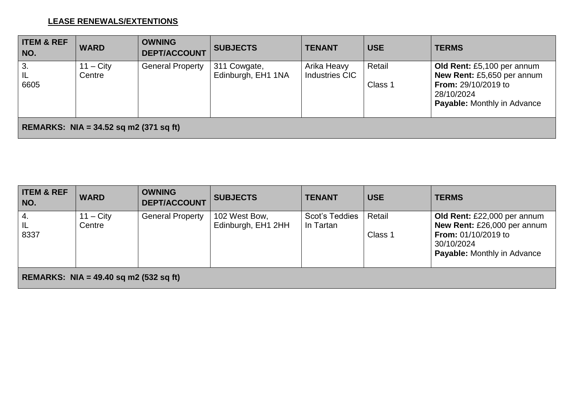#### **LEASE RENEWALS/EXTENTIONS**

| <b>ITEM &amp; REF</b><br>NO.                  | <b>WARD</b>           | <b>OWNING</b><br><b>DEPT/ACCOUNT</b> | <b>SUBJECTS</b>                    | <b>TENANT</b>                        | <b>USE</b>        | <b>TERMS</b>                                                                                                                                      |
|-----------------------------------------------|-----------------------|--------------------------------------|------------------------------------|--------------------------------------|-------------------|---------------------------------------------------------------------------------------------------------------------------------------------------|
| 3.<br>IL<br>6605                              | $11 - City$<br>Centre | <b>General Property</b>              | 311 Cowgate,<br>Edinburgh, EH1 1NA | Arika Heavy<br><b>Industries CIC</b> | Retail<br>Class 1 | Old Rent: £5,100 per annum<br><b>New Rent: £5,650 per annum</b><br><b>From: 29/10/2019 to</b><br>28/10/2024<br><b>Payable:</b> Monthly in Advance |
| <b>REMARKS: NIA = 34.52 sq m2 (371 sq ft)</b> |                       |                                      |                                    |                                      |                   |                                                                                                                                                   |

| <b>ITEM &amp; REF</b><br>NO.             | <b>WARD</b>                  | <b>OWNING</b><br><b>DEPT/ACCOUNT</b> | <b>SUBJECTS</b>                     | <b>TENANT</b>               | <b>USE</b>        | <b>TERMS</b>                                                                                                                                 |
|------------------------------------------|------------------------------|--------------------------------------|-------------------------------------|-----------------------------|-------------------|----------------------------------------------------------------------------------------------------------------------------------------------|
| <sup>1</sup> 4.<br>  IL<br>8337          | $11 - \text{City}$<br>Centre | <b>General Property</b>              | 102 West Bow,<br>Edinburgh, EH1 2HH | Scot's Teddies<br>In Tartan | Retail<br>Class 1 | Old Rent: £22,000 per annum<br>New Rent: £26,000 per annum<br><b>From: 01/10/2019 to</b><br>30/10/2024<br><b>Payable: Monthly in Advance</b> |
| REMARKS: NIA = $49.40$ sq m2 (532 sq ft) |                              |                                      |                                     |                             |                   |                                                                                                                                              |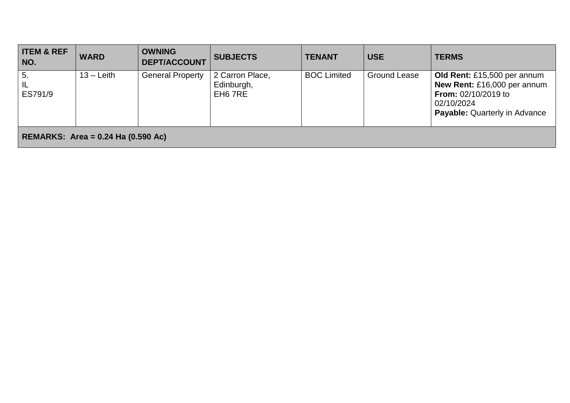| <b>ITEM &amp; REF</b><br>NO.       | <b>WARD</b>  | <b>OWNING</b><br><b>DEPT/ACCOUNT</b> | <b>SUBJECTS</b>                          | <b>TENANT</b>      | <b>USE</b>          | <b>TERMS</b>                                                                                                                                     |  |
|------------------------------------|--------------|--------------------------------------|------------------------------------------|--------------------|---------------------|--------------------------------------------------------------------------------------------------------------------------------------------------|--|
| 5.<br>IL<br>ES791/9                | $13 -$ Leith | <b>General Property</b>              | 2 Carron Place,<br>Edinburgh,<br>EH6 7RE | <b>BOC Limited</b> | <b>Ground Lease</b> | Old Rent: £15,500 per annum<br>New Rent: £16,000 per annum<br><b>From:</b> $02/10/2019$ to<br>02/10/2024<br><b>Payable: Quarterly in Advance</b> |  |
| REMARKS: Area = 0.24 Ha (0.590 Ac) |              |                                      |                                          |                    |                     |                                                                                                                                                  |  |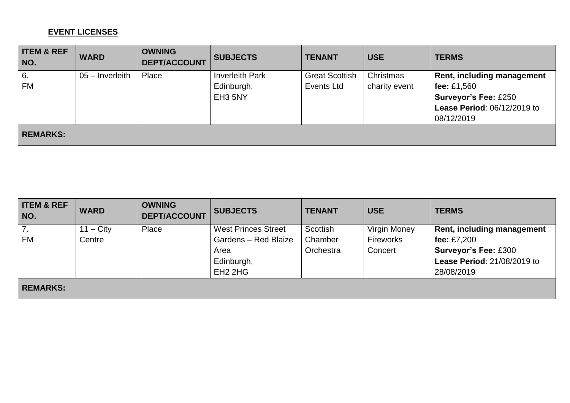#### **EVENT LICENSES**

| <b>ITEM &amp; REF</b><br>NO. | <b>WARD</b>       | <b>OWNING</b><br><b>DEPT/ACCOUNT</b> | <b>SUBJECTS</b>        | <b>TENANT</b>         | <b>USE</b>    | <b>TERMS</b>                |
|------------------------------|-------------------|--------------------------------------|------------------------|-----------------------|---------------|-----------------------------|
| 6.                           | $05 -$ Inverleith | Place                                | <b>Inverleith Park</b> | <b>Great Scottish</b> | Christmas     | Rent, including management  |
| <b>FM</b>                    |                   |                                      | Edinburgh,             | Events Ltd            | charity event | fee: $£1,560$               |
|                              |                   |                                      | EH3 5NY                |                       |               | <b>Surveyor's Fee: £250</b> |
|                              |                   |                                      |                        |                       |               | Lease Period: 06/12/2019 to |
|                              |                   |                                      |                        |                       |               | 08/12/2019                  |
| <b>REMARKS:</b>              |                   |                                      |                        |                       |               |                             |

| <b>ITEM &amp; REF</b><br>NO. | <b>WARD</b>        | <b>OWNING</b><br><b>DEPT/ACCOUNT</b> | <b>SUBJECTS</b>                 | <b>TENANT</b> | <b>USE</b>          | <b>TERMS</b>                |
|------------------------------|--------------------|--------------------------------------|---------------------------------|---------------|---------------------|-----------------------------|
| 7.                           | $11 - \text{City}$ | Place                                | <b>West Princes Street</b>      | Scottish      | <b>Virgin Money</b> | Rent, including management  |
| <b>FM</b>                    | Centre             |                                      | Gardens - Red Blaize            | Chamber       | <b>Fireworks</b>    | fee: $£7,200$               |
|                              |                    |                                      | Area                            | Orchestra     | Concert             | <b>Surveyor's Fee: £300</b> |
|                              |                    |                                      | Edinburgh,                      |               |                     | Lease Period: 21/08/2019 to |
|                              |                    |                                      | EH <sub>2</sub> 2H <sub>G</sub> |               |                     | 28/08/2019                  |
| <b>REMARKS:</b>              |                    |                                      |                                 |               |                     |                             |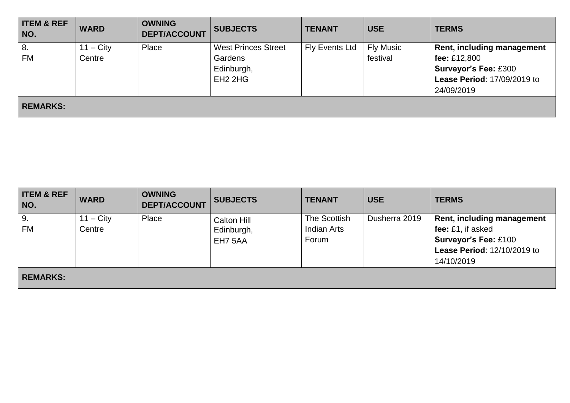| <b>ITEM &amp; REF</b><br>NO. | <b>WARD</b> | <b>OWNING</b><br><b>DEPT/ACCOUNT</b> | <b>SUBJECTS</b>                 | <b>TENANT</b>  | <b>USE</b>       | <b>TERMS</b>                |
|------------------------------|-------------|--------------------------------------|---------------------------------|----------------|------------------|-----------------------------|
| 8.                           | $11 - City$ | Place                                | <b>West Princes Street</b>      | Fly Events Ltd | <b>Fly Music</b> | Rent, including management  |
| FM                           | Centre      |                                      | Gardens                         |                | festival         | fee: £12,800                |
|                              |             |                                      | Edinburgh,                      |                |                  | <b>Surveyor's Fee: £300</b> |
|                              |             |                                      | EH <sub>2</sub> 2H <sub>G</sub> |                |                  | Lease Period: 17/09/2019 to |
|                              |             |                                      |                                 |                |                  | 24/09/2019                  |
| <b>REMARKS:</b>              |             |                                      |                                 |                |                  |                             |

| <b>ITEM &amp; REF</b><br>NO. | <b>WARD</b> | <b>OWNING</b><br><b>DEPT/ACCOUNT</b> | <b>SUBJECTS</b> | <b>TENANT</b>      | <b>USE</b>    | <b>TERMS</b>                |
|------------------------------|-------------|--------------------------------------|-----------------|--------------------|---------------|-----------------------------|
| 9.                           | $11 - City$ | Place                                | Calton Hill     | The Scottish       | Dusherra 2019 | Rent, including management  |
| <b>FM</b>                    | Centre      |                                      | Edinburgh,      | <b>Indian Arts</b> |               | fee: £1, if asked           |
|                              |             |                                      | EH7 5AA         | Forum              |               | <b>Surveyor's Fee: £100</b> |
|                              |             |                                      |                 |                    |               | Lease Period: 12/10/2019 to |
|                              |             |                                      |                 |                    |               | 14/10/2019                  |
| <b>REMARKS:</b>              |             |                                      |                 |                    |               |                             |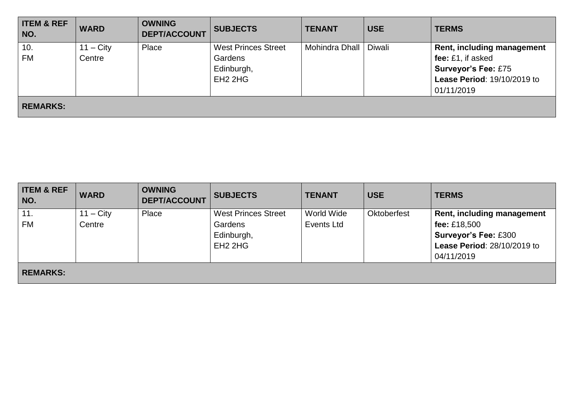| <b>ITEM &amp; REF</b><br>NO. | <b>WARD</b> | <b>OWNING</b><br><b>DEPT/ACCOUNT</b> | <b>SUBJECTS</b>            | <b>TENANT</b>  | <b>USE</b> | <b>TERMS</b>                      |
|------------------------------|-------------|--------------------------------------|----------------------------|----------------|------------|-----------------------------------|
| 10.                          | $11 - City$ | Place                                | <b>West Princes Street</b> | Mohindra Dhall | Diwali     | <b>Rent, including management</b> |
| <b>FM</b>                    | Centre      |                                      | Gardens                    |                |            | fee: £1, if asked                 |
|                              |             |                                      | Edinburgh,                 |                |            | <b>Surveyor's Fee: £75</b>        |
|                              |             |                                      | $EH2$ 2HG                  |                |            | Lease Period: 19/10/2019 to       |
|                              |             |                                      |                            |                |            | 01/11/2019                        |
| <b>REMARKS:</b>              |             |                                      |                            |                |            |                                   |

| <b>ITEM &amp; REF</b><br>NO. | <b>WARD</b> | <b>OWNING</b><br><b>DEPT/ACCOUNT</b> | <b>SUBJECTS</b>                 | <b>TENANT</b> | <b>USE</b>         | <b>TERMS</b>                       |
|------------------------------|-------------|--------------------------------------|---------------------------------|---------------|--------------------|------------------------------------|
| 11.                          | $11 - City$ | Place                                | <b>West Princes Street</b>      | World Wide    | <b>Oktoberfest</b> | Rent, including management         |
| <b>FM</b>                    | Centre      |                                      | Gardens                         | Events Ltd    |                    | fee: £18,500                       |
|                              |             |                                      | Edinburgh,                      |               |                    | <b>Surveyor's Fee: £300</b>        |
|                              |             |                                      | EH <sub>2</sub> 2H <sub>G</sub> |               |                    | <b>Lease Period: 28/10/2019 to</b> |
|                              |             |                                      |                                 |               |                    | 04/11/2019                         |
| <b>REMARKS:</b>              |             |                                      |                                 |               |                    |                                    |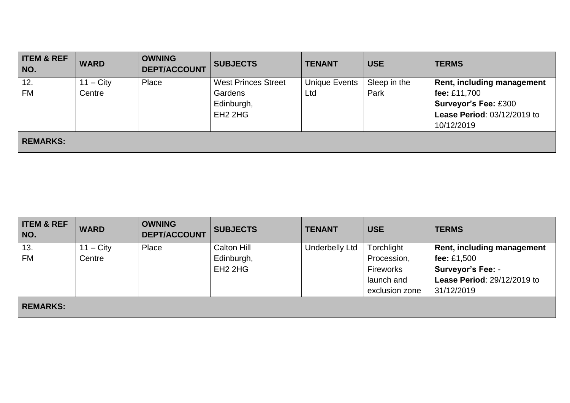| <b>ITEM &amp; REF</b><br>NO. | <b>WARD</b> | <b>OWNING</b><br><b>DEPT/ACCOUNT</b> | <b>SUBJECTS</b>                                          | <b>TENANT</b>        | <b>USE</b>   | <b>TERMS</b>                                                                             |
|------------------------------|-------------|--------------------------------------|----------------------------------------------------------|----------------------|--------------|------------------------------------------------------------------------------------------|
| 12.                          | $11 - City$ | Place                                | <b>West Princes Street</b>                               | <b>Unique Events</b> | Sleep in the | Rent, including management                                                               |
| <b>FM</b>                    | Centre      |                                      | Gardens<br>Edinburgh,<br>EH <sub>2</sub> 2H <sub>G</sub> | Ltd                  | Park         | fee: £11,700<br><b>Surveyor's Fee: £300</b><br>Lease Period: 03/12/2019 to<br>10/12/2019 |
| <b>REMARKS:</b>              |             |                                      |                                                          |                      |              |                                                                                          |

| <b>ITEM &amp; REF</b><br>NO. | <b>WARD</b> | <b>OWNING</b><br><b>DEPT/ACCOUNT</b> | <b>SUBJECTS</b>                 | <b>TENANT</b>         | <b>USE</b>       | <b>TERMS</b>                      |
|------------------------------|-------------|--------------------------------------|---------------------------------|-----------------------|------------------|-----------------------------------|
| 13.                          | $11 - City$ | Place                                | Calton Hill                     | <b>Underbelly Ltd</b> | Torchlight       | <b>Rent, including management</b> |
| <b>FM</b>                    | Centre      |                                      | Edinburgh,                      |                       | Procession,      | fee: $£1,500$                     |
|                              |             |                                      | EH <sub>2</sub> 2H <sub>G</sub> |                       | <b>Fireworks</b> | <b>Surveyor's Fee: -</b>          |
|                              |             |                                      |                                 |                       | launch and       | Lease Period: 29/12/2019 to       |
|                              |             |                                      |                                 |                       | exclusion zone   | 31/12/2019                        |
| <b>REMARKS:</b>              |             |                                      |                                 |                       |                  |                                   |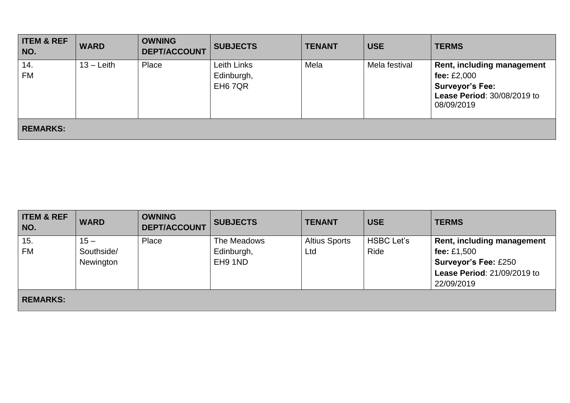| <b>ITEM &amp; REF</b><br>NO. | <b>WARD</b>  | <b>OWNING</b><br><b>DEPT/ACCOUNT</b> | <b>SUBJECTS</b>                                  | <b>TENANT</b> | <b>USE</b>    | <b>TERMS</b>                                                                                                              |
|------------------------------|--------------|--------------------------------------|--------------------------------------------------|---------------|---------------|---------------------------------------------------------------------------------------------------------------------------|
| 14.<br><b>FM</b>             | $13 -$ Leith | Place                                | Leith Links<br>Edinburgh,<br>EH <sub>6</sub> 7QR | Mela          | Mela festival | Rent, including management<br>fee: $£2,000$<br><b>Surveyor's Fee:</b><br><b>Lease Period: 30/08/2019 to</b><br>08/09/2019 |
| <b>REMARKS:</b>              |              |                                      |                                                  |               |               |                                                                                                                           |

| <b>ITEM &amp; REF</b><br>NO. | <b>WARD</b>                       | <b>OWNING</b><br><b>DEPT/ACCOUNT</b> | <b>SUBJECTS</b>                      | <b>TENANT</b>               | <b>USE</b>                | <b>TERMS</b>                                                                                                                 |
|------------------------------|-----------------------------------|--------------------------------------|--------------------------------------|-----------------------------|---------------------------|------------------------------------------------------------------------------------------------------------------------------|
| 15.<br>FM                    | $15 -$<br>Southside/<br>Newington | Place                                | The Meadows<br>Edinburgh,<br>EH9 1ND | <b>Altius Sports</b><br>Ltd | <b>HSBC Let's</b><br>Ride | <b>Rent, including management</b><br>fee: £1,500<br><b>Surveyor's Fee: £250</b><br>Lease Period: 21/09/2019 to<br>22/09/2019 |
| <b>REMARKS:</b>              |                                   |                                      |                                      |                             |                           |                                                                                                                              |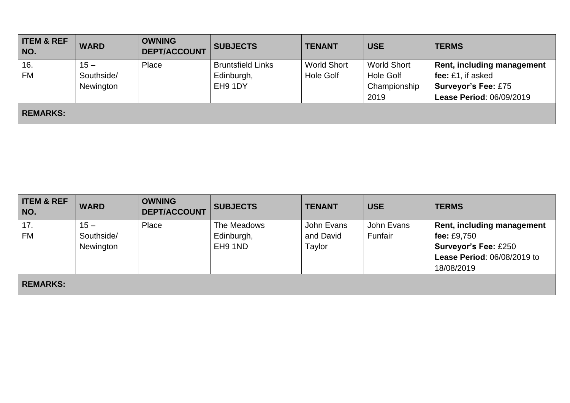| <b>ITEM &amp; REF</b><br>NO. | <b>WARD</b>                       | <b>OWNING</b><br><b>DEPT/ACCOUNT</b> | <b>SUBJECTS</b>                                   | <b>TENANT</b>                          | <b>USE</b>                                                     | <b>TERMS</b>                                                                                                     |
|------------------------------|-----------------------------------|--------------------------------------|---------------------------------------------------|----------------------------------------|----------------------------------------------------------------|------------------------------------------------------------------------------------------------------------------|
| 16.<br><b>FM</b>             | $15 -$<br>Southside/<br>Newington | Place                                | <b>Bruntsfield Links</b><br>Edinburgh,<br>EH9 1DY | <b>World Short</b><br><b>Hole Golf</b> | <b>World Short</b><br><b>Hole Golf</b><br>Championship<br>2019 | <b>Rent, including management</b><br>fee: £1, if asked<br><b>Surveyor's Fee: £75</b><br>Lease Period: 06/09/2019 |
| <b>REMARKS:</b>              |                                   |                                      |                                                   |                                        |                                                                |                                                                                                                  |

| <b>ITEM &amp; REF</b><br>NO. | <b>WARD</b> | <b>OWNING</b><br><b>DEPT/ACCOUNT</b> | <b>SUBJECTS</b> | <b>TENANT</b> | <b>USE</b> | <b>TERMS</b>                |
|------------------------------|-------------|--------------------------------------|-----------------|---------------|------------|-----------------------------|
| 17.                          | $15 -$      | Place                                | The Meadows     | John Evans    | John Evans | Rent, including management  |
| <b>FM</b>                    | Southside/  |                                      | Edinburgh,      | and David     | Funfair    | fee: £9,750                 |
|                              | Newington   |                                      | EH9 1ND         | Taylor        |            | <b>Surveyor's Fee: £250</b> |
|                              |             |                                      |                 |               |            | Lease Period: 06/08/2019 to |
|                              |             |                                      |                 |               |            | 18/08/2019                  |
| <b>REMARKS:</b>              |             |                                      |                 |               |            |                             |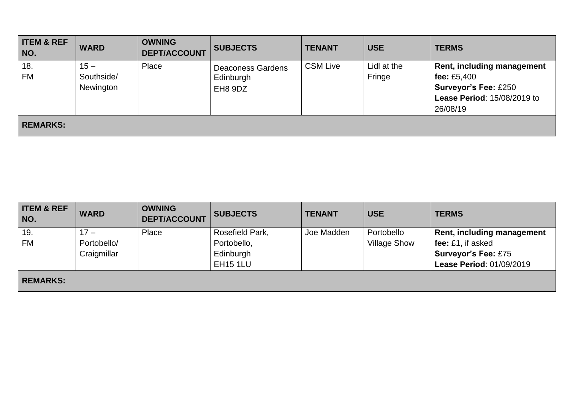| <b>ITEM &amp; REF</b><br>NO. | <b>WARD</b>                       | <b>OWNING</b><br><b>DEPT/ACCOUNT</b> | <b>SUBJECTS</b>                                  | <b>TENANT</b>   | <b>USE</b>            | <b>TERMS</b>                                                                                                                 |
|------------------------------|-----------------------------------|--------------------------------------|--------------------------------------------------|-----------------|-----------------------|------------------------------------------------------------------------------------------------------------------------------|
| 18.<br><b>FM</b>             | $15 -$<br>Southside/<br>Newington | Place                                | <b>Deaconess Gardens</b><br>Edinburgh<br>EH8 9DZ | <b>CSM Live</b> | Lidl at the<br>Fringe | <b>Rent, including management</b><br>fee: $£5,400$<br><b>Surveyor's Fee: £250</b><br>Lease Period: 15/08/2019 to<br>26/08/19 |
| <b>REMARKS:</b>              |                                   |                                      |                                                  |                 |                       |                                                                                                                              |

| <b>ITEM &amp; REF</b><br>NO. | <b>WARD</b> | <b>OWNING</b><br><b>DEPT/ACCOUNT</b> | <b>SUBJECTS</b> | <b>TENANT</b> | <b>USE</b>          | <b>TERMS</b>               |
|------------------------------|-------------|--------------------------------------|-----------------|---------------|---------------------|----------------------------|
| 19.                          | $17 -$      | Place                                | Rosefield Park, | Joe Madden    | Portobello          | Rent, including management |
| <b>FM</b>                    | Portobello/ |                                      | Portobello,     |               | <b>Village Show</b> | fee: £1, if asked          |
|                              | Craigmillar |                                      | Edinburgh       |               |                     | <b>Surveyor's Fee: £75</b> |
|                              |             |                                      | <b>EH15 1LU</b> |               |                     | Lease Period: 01/09/2019   |
| <b>REMARKS:</b>              |             |                                      |                 |               |                     |                            |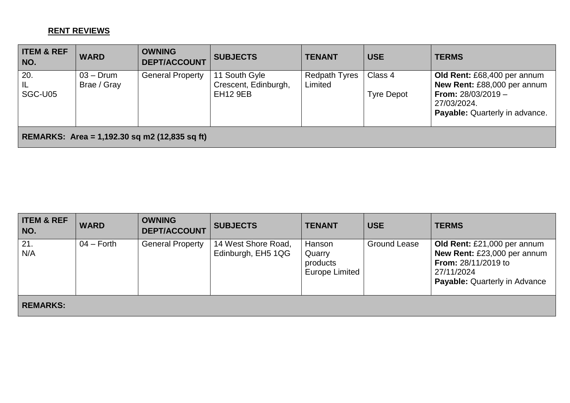# **RENT REVIEWS**

| <b>ITEM &amp; REF</b><br>NO.                  | <b>WARD</b>                | <b>OWNING</b><br><b>DEPT/ACCOUNT</b> | <b>SUBJECTS</b>                                          | <b>TENANT</b>            | <b>USE</b>                   | <b>TERMS</b>                                                                                                                                      |  |
|-----------------------------------------------|----------------------------|--------------------------------------|----------------------------------------------------------|--------------------------|------------------------------|---------------------------------------------------------------------------------------------------------------------------------------------------|--|
| 20.<br><b>IL</b><br>SGC-U05                   | $03 -$ Drum<br>Brae / Gray | <b>General Property</b>              | 11 South Gyle<br>Crescent, Edinburgh,<br><b>EH12 9EB</b> | Redpath Tyres<br>Limited | Class 4<br><b>Tyre Depot</b> | Old Rent: £68,400 per annum<br>New Rent: £88,000 per annum<br><b>From:</b> $28/03/2019 -$<br>27/03/2024.<br><b>Payable:</b> Quarterly in advance. |  |
| REMARKS: Area = 1,192.30 sq m2 (12,835 sq ft) |                            |                                      |                                                          |                          |                              |                                                                                                                                                   |  |

| <b>ITEM &amp; REF</b><br>NO. | <b>WARD</b>  | <b>OWNING</b><br><b>DEPT/ACCOUNT</b> | <b>SUBJECTS</b>                           | <b>TENANT</b>                                  | <b>USE</b>          | <b>TERMS</b>                                                                                                                            |
|------------------------------|--------------|--------------------------------------|-------------------------------------------|------------------------------------------------|---------------------|-----------------------------------------------------------------------------------------------------------------------------------------|
| 21.<br>N/A                   | $04 -$ Forth | <b>General Property</b>              | 14 West Shore Road,<br>Edinburgh, EH5 1QG | Hanson<br>Quarry<br>products<br>Europe Limited | <b>Ground Lease</b> | Old Rent: £21,000 per annum<br>New Rent: £23,000 per annum<br>From: 28/11/2019 to<br>27/11/2024<br><b>Payable: Quarterly in Advance</b> |
| <b>REMARKS:</b>              |              |                                      |                                           |                                                |                     |                                                                                                                                         |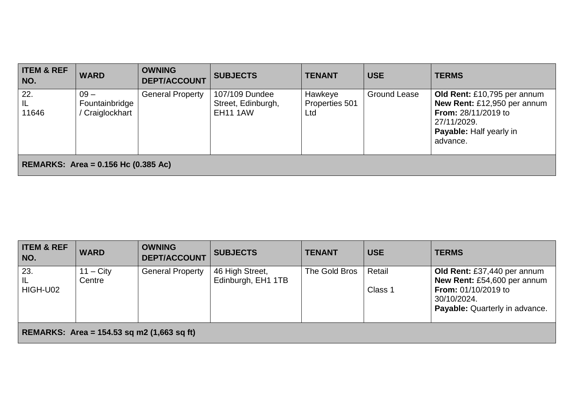| <b>ITEM &amp; REF</b><br>NO.        | <b>WARD</b>                               | <b>OWNING</b><br><b>DEPT/ACCOUNT</b> | <b>SUBJECTS</b>                                         | <b>TENANT</b>                    | <b>USE</b>          | <b>TERMS</b>                                                                                                                                          |  |
|-------------------------------------|-------------------------------------------|--------------------------------------|---------------------------------------------------------|----------------------------------|---------------------|-------------------------------------------------------------------------------------------------------------------------------------------------------|--|
| 22.<br>IL<br>11646                  | $09 -$<br>Fountainbridge<br>Craiglockhart | <b>General Property</b>              | 107/109 Dundee<br>Street, Edinburgh,<br><b>EH11 1AW</b> | Hawkeye<br>Properties 501<br>Ltd | <b>Ground Lease</b> | Old Rent: £10,795 per annum<br>New Rent: £12,950 per annum<br><b>From: 28/11/2019 to</b><br>27/11/2029.<br><b>Payable:</b> Half yearly in<br>advance. |  |
| REMARKS: Area = 0.156 Hc (0.385 Ac) |                                           |                                      |                                                         |                                  |                     |                                                                                                                                                       |  |

| <b>ITEM &amp; REF</b><br>NO.                 | <b>WARD</b>                  | <b>OWNING</b><br><b>DEPT/ACCOUNT</b> | <b>SUBJECTS</b>                       | <b>TENANT</b> | <b>USE</b>        | <b>TERMS</b>                                                                                                                                     |  |
|----------------------------------------------|------------------------------|--------------------------------------|---------------------------------------|---------------|-------------------|--------------------------------------------------------------------------------------------------------------------------------------------------|--|
| 23.<br>IL<br>HIGH-U02                        | $11 - \text{City}$<br>Centre | <b>General Property</b>              | 46 High Street,<br>Edinburgh, EH1 1TB | The Gold Bros | Retail<br>Class 1 | Old Rent: £37,440 per annum<br>New Rent: £54,600 per annum<br><b>From: 01/10/2019 to</b><br>30/10/2024.<br><b>Payable:</b> Quarterly in advance. |  |
| REMARKS: Area = $154.53$ sq m2 (1,663 sq ft) |                              |                                      |                                       |               |                   |                                                                                                                                                  |  |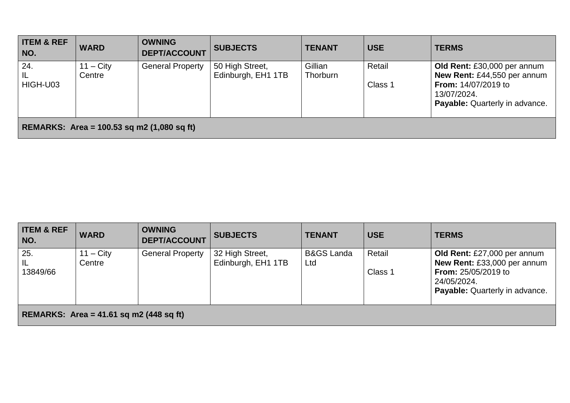| <b>ITEM &amp; REF</b><br>NO.                        | <b>WARD</b>        | <b>OWNING</b><br><b>DEPT/ACCOUNT</b> | <b>SUBJECTS</b>    | <b>TENANT</b> | <b>USE</b> | <b>TERMS</b>                                                                                                      |  |
|-----------------------------------------------------|--------------------|--------------------------------------|--------------------|---------------|------------|-------------------------------------------------------------------------------------------------------------------|--|
| 124.                                                | $11 - \text{City}$ | <b>General Property</b>              | 50 High Street,    | Gillian       | Retail     | Old Rent: £30,000 per annum                                                                                       |  |
| l IL<br>HIGH-U03                                    | Centre             |                                      | Edinburgh, EH1 1TB | Thorburn      | Class 1    | New Rent: £44,550 per annum<br><b>From: 14/07/2019 to</b><br>13/07/2024.<br><b>Payable:</b> Quarterly in advance. |  |
| <b>REMARKS:</b> Area = $100.53$ sq m2 (1,080 sq ft) |                    |                                      |                    |               |            |                                                                                                                   |  |

| <b>ITEM &amp; REF</b><br>NO.              | <b>WARD</b>                  | <b>OWNING</b><br><b>DEPT/ACCOUNT</b> | <b>SUBJECTS</b>                       | <b>TENANT</b>                | <b>USE</b>        | <b>TERMS</b>                                                                                                                              |  |
|-------------------------------------------|------------------------------|--------------------------------------|---------------------------------------|------------------------------|-------------------|-------------------------------------------------------------------------------------------------------------------------------------------|--|
| 25.<br>IL<br>13849/66                     | $11 - \text{City}$<br>Centre | <b>General Property</b>              | 32 High Street,<br>Edinburgh, EH1 1TB | <b>B&amp;GS Landa</b><br>Ltd | Retail<br>Class 1 | Old Rent: £27,000 per annum<br>New Rent: £33,000 per annum<br><b>From: 25/05/2019 to</b><br>24/05/2024.<br>Payable: Quarterly in advance. |  |
| REMARKS: Area = $41.61$ sq m2 (448 sq ft) |                              |                                      |                                       |                              |                   |                                                                                                                                           |  |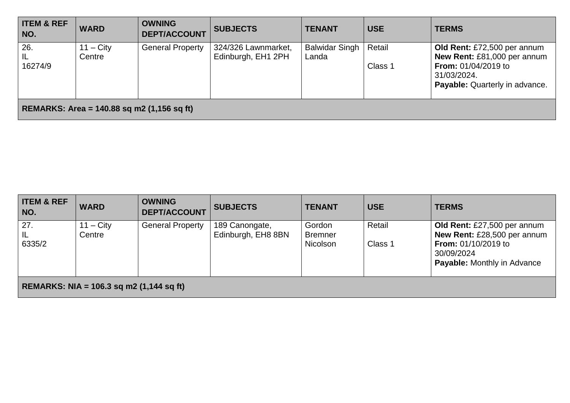| <b>ITEM &amp; REF</b><br>NO.                 | <b>WARD</b>           | <b>OWNING</b><br><b>DEPT/ACCOUNT</b> | <b>SUBJECTS</b>                           | <b>TENANT</b>                  | <b>USE</b>        | <b>TERMS</b>                                                                                                                                     |  |
|----------------------------------------------|-----------------------|--------------------------------------|-------------------------------------------|--------------------------------|-------------------|--------------------------------------------------------------------------------------------------------------------------------------------------|--|
| 26.<br>IL<br>16274/9                         | $11 - City$<br>Centre | <b>General Property</b>              | 324/326 Lawnmarket,<br>Edinburgh, EH1 2PH | <b>Balwidar Singh</b><br>Landa | Retail<br>Class 1 | Old Rent: £72,500 per annum<br>New Rent: £81,000 per annum<br><b>From: 01/04/2019 to</b><br>31/03/2024.<br><b>Payable:</b> Quarterly in advance. |  |
| REMARKS: Area = $140.88$ sq m2 (1,156 sq ft) |                       |                                      |                                           |                                |                   |                                                                                                                                                  |  |

| <b>ITEM &amp; REF</b><br>NO.                    | <b>WARD</b>           | <b>OWNING</b><br><b>DEPT/ACCOUNT</b> | <b>SUBJECTS</b>                      | <b>TENANT</b>                        | <b>USE</b>        | <b>TERMS</b>                                                                                                                                 |  |
|-------------------------------------------------|-----------------------|--------------------------------------|--------------------------------------|--------------------------------------|-------------------|----------------------------------------------------------------------------------------------------------------------------------------------|--|
| 27.<br> L <br>6335/2                            | $11 - City$<br>Centre | <b>General Property</b>              | 189 Canongate,<br>Edinburgh, EH8 8BN | Gordon<br><b>Bremner</b><br>Nicolson | Retail<br>Class 1 | Old Rent: £27,500 per annum<br>New Rent: £28,500 per annum<br><b>From: 01/10/2019 to</b><br>30/09/2024<br><b>Payable:</b> Monthly in Advance |  |
| <b>REMARKS: NIA = 106.3 sq m2 (1,144 sq ft)</b> |                       |                                      |                                      |                                      |                   |                                                                                                                                              |  |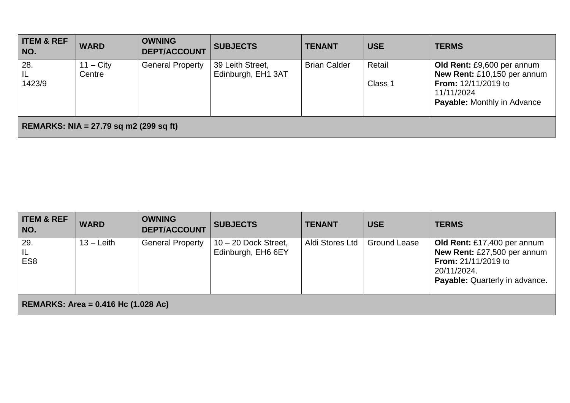| <b>ITEM &amp; REF</b><br>NO.             | <b>WARD</b>           | <b>OWNING</b><br><b>DEPT/ACCOUNT</b> | <b>SUBJECTS</b>                        | <b>TENANT</b>       | <b>USE</b>        | <b>TERMS</b>                                                                                                                                  |  |
|------------------------------------------|-----------------------|--------------------------------------|----------------------------------------|---------------------|-------------------|-----------------------------------------------------------------------------------------------------------------------------------------------|--|
| 28.<br>IL<br>1423/9                      | $11 - City$<br>Centre | <b>General Property</b>              | 39 Leith Street,<br>Edinburgh, EH1 3AT | <b>Brian Calder</b> | Retail<br>Class 1 | Old Rent: £9,600 per annum<br>New Rent: £10,150 per annum<br><b>From:</b> $12/11/2019$ to<br>11/11/2024<br><b>Payable:</b> Monthly in Advance |  |
| REMARKS: NIA = $27.79$ sq m2 (299 sq ft) |                       |                                      |                                        |                     |                   |                                                                                                                                               |  |

| <b>ITEM &amp; REF</b><br>NO. | <b>WARD</b>                                | <b>OWNING</b><br><b>DEPT/ACCOUNT</b> | <b>SUBJECTS</b>                              | <b>TENANT</b>   | <b>USE</b>          | <b>TERMS</b>                                                                                                                              |  |  |  |
|------------------------------|--------------------------------------------|--------------------------------------|----------------------------------------------|-----------------|---------------------|-------------------------------------------------------------------------------------------------------------------------------------------|--|--|--|
| 29.<br>IL<br>ES <sub>8</sub> | $13 -$ Leith                               | <b>General Property</b>              | $10 - 20$ Dock Street,<br>Edinburgh, EH6 6EY | Aldi Stores Ltd | <b>Ground Lease</b> | Old Rent: £17,400 per annum<br>New Rent: £27,500 per annum<br><b>From: 21/11/2019 to</b><br>20/11/2024.<br>Payable: Quarterly in advance. |  |  |  |
|                              | <b>REMARKS: Area = 0.416 Hc (1.028 Ac)</b> |                                      |                                              |                 |                     |                                                                                                                                           |  |  |  |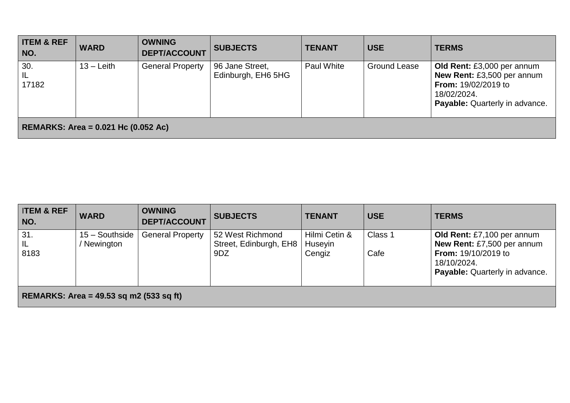| <b>ITEM &amp; REF</b><br>NO. | <b>WARD</b>                                | <b>OWNING</b><br><b>DEPT/ACCOUNT</b> | <b>SUBJECTS</b>                       | <b>TENANT</b> | <b>USE</b>          | <b>TERMS</b>                                                                                                                                   |  |  |
|------------------------------|--------------------------------------------|--------------------------------------|---------------------------------------|---------------|---------------------|------------------------------------------------------------------------------------------------------------------------------------------------|--|--|
| 30.<br>IL<br>17182           | $13 -$ Leith                               | <b>General Property</b>              | 96 Jane Street,<br>Edinburgh, EH6 5HG | Paul White    | <b>Ground Lease</b> | Old Rent: £3,000 per annum<br>New Rent: £3,500 per annum<br><b>From: 19/02/2019 to</b><br>18/02/2024.<br><b>Payable:</b> Quarterly in advance. |  |  |
|                              | <b>REMARKS: Area = 0.021 Hc (0.052 Ac)</b> |                                      |                                       |               |                     |                                                                                                                                                |  |  |

| <b>ITEM &amp; REF</b><br>NO.              | <b>WARD</b>                   | <b>OWNING</b><br><b>DEPT/ACCOUNT</b> | <b>SUBJECTS</b>                            | <b>TENANT</b>            | <b>USE</b> | <b>TERMS</b>                                                                       |  |
|-------------------------------------------|-------------------------------|--------------------------------------|--------------------------------------------|--------------------------|------------|------------------------------------------------------------------------------------|--|
| 31.<br>IL                                 | $15 -$ Southside<br>Newington | <b>General Property</b>              | 52 West Richmond<br>Street, Edinburgh, EH8 | Hilmi Cetin &<br>Huseyin | Class 1    | Old Rent: £7,100 per annum<br>New Rent: £7,500 per annum                           |  |
| 8183                                      |                               |                                      | 9DZ                                        | Cengiz                   | Cafe       | <b>From: 19/10/2019 to</b><br>18/10/2024.<br><b>Payable:</b> Quarterly in advance. |  |
| REMARKS: Area = $49.53$ sq m2 (533 sq ft) |                               |                                      |                                            |                          |            |                                                                                    |  |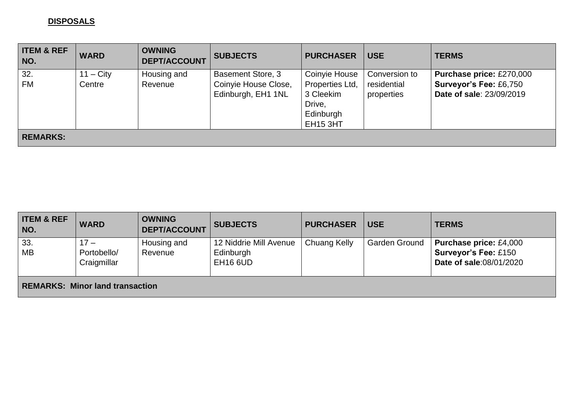#### **DISPOSALS**

| <b>ITEM &amp; REF</b><br>NO. | <b>WARD</b>           | <b>OWNING</b><br><b>DEPT/ACCOUNT</b> | <b>SUBJECTS</b>                                                        | <b>PURCHASER</b>                                                                        | <b>USE</b>                                 | <b>TERMS</b>                                                                                 |
|------------------------------|-----------------------|--------------------------------------|------------------------------------------------------------------------|-----------------------------------------------------------------------------------------|--------------------------------------------|----------------------------------------------------------------------------------------------|
| 32.<br><b>FM</b>             | $11 - City$<br>Centre | Housing and<br>Revenue               | <b>Basement Store, 3</b><br>Coinyie House Close,<br>Edinburgh, EH1 1NL | Coinyie House<br>Properties Ltd,<br>3 Cleekim<br>Drive,<br>Edinburgh<br><b>EH15 3HT</b> | Conversion to<br>residential<br>properties | <b>Purchase price: £270,000</b><br><b>Surveyor's Fee: £6,750</b><br>Date of sale: 23/09/2019 |
| <b>REMARKS:</b>              |                       |                                      |                                                                        |                                                                                         |                                            |                                                                                              |

| <b>ITEM &amp; REF</b><br>NO. | <b>WARD</b>                            | <b>OWNING</b><br><b>DEPT/ACCOUNT</b> | <b>SUBJECTS</b>                                        | <b>PURCHASER</b> | <b>USE</b>    | <b>TERMS</b>                                                                            |  |  |
|------------------------------|----------------------------------------|--------------------------------------|--------------------------------------------------------|------------------|---------------|-----------------------------------------------------------------------------------------|--|--|
| $\vert$ 33.<br>  MB          | $17 -$<br>Portobello/<br>Craigmillar   | Housing and<br>Revenue               | 12 Niddrie Mill Avenue<br>Edinburgh<br><b>EH16 6UD</b> | Chuang Kelly     | Garden Ground | <b>Purchase price: £4,000</b><br><b>Surveyor's Fee: £150</b><br>Date of sale:08/01/2020 |  |  |
|                              | <b>REMARKS: Minor land transaction</b> |                                      |                                                        |                  |               |                                                                                         |  |  |